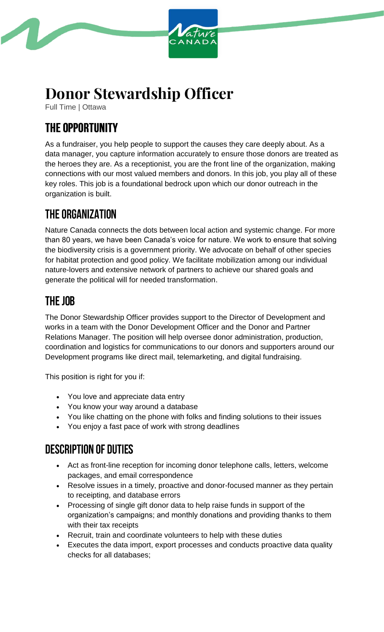

# **Donor Stewardship Officer**

Full Time | Ottawa

# **THE OPPORTUNITY**

As a fundraiser, you help people to support the causes they care deeply about. As a data manager, you capture information accurately to ensure those donors are treated as the heroes they are. As a receptionist, you are the front line of the organization, making connections with our most valued members and donors. In this job, you play all of these key roles. This job is a foundational bedrock upon which our donor outreach in the organization is built.

## **THE ORGANIZATION**

Nature Canada connects the dots between local action and systemic change. For more than 80 years, we have been Canada's voice for nature. We work to ensure that solving the biodiversity crisis is a government priority. We advocate on behalf of other species for habitat protection and good policy. We facilitate mobilization among our individual nature-lovers and extensive network of partners to achieve our shared goals and generate the political will for needed transformation.

#### THE JOB

The Donor Stewardship Officer provides support to the Director of Development and works in a team with the Donor Development Officer and the Donor and Partner Relations Manager. The position will help oversee donor administration, production, coordination and logistics for communications to our donors and supporters around our Development programs like direct mail, telemarketing, and digital fundraising.

This position is right for you if:

- You love and appreciate data entry
- You know your way around a database
- You like chatting on the phone with folks and finding solutions to their issues
- You enjoy a fast pace of work with strong deadlines

#### **DESCRIPTION OF DUTIES**

- Act as front-line reception for incoming donor telephone calls, letters, welcome packages, and email correspondence
- Resolve issues in a timely, proactive and donor-focused manner as they pertain to receipting, and database errors
- Processing of single gift donor data to help raise funds in support of the organization's campaigns; and monthly donations and providing thanks to them with their tax receipts
- Recruit, train and coordinate volunteers to help with these duties
- Executes the data import, export processes and conducts proactive data quality checks for all databases;